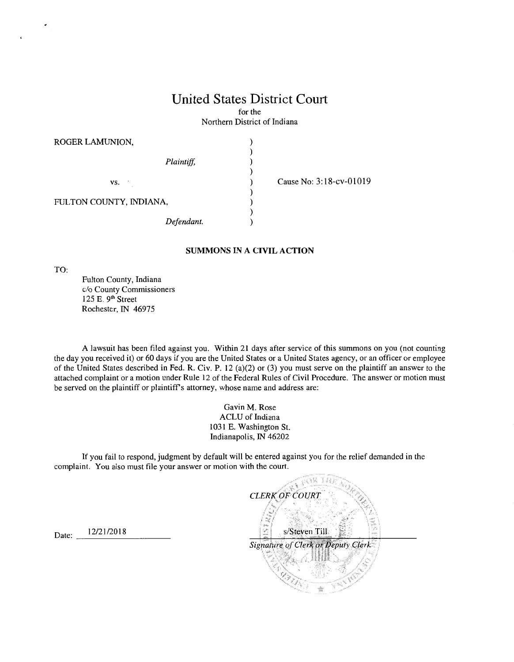# **United States District Court**

for the

Northern District of Indiana

| ROGER LAMUNION,         |  |
|-------------------------|--|
|                         |  |
| Plaintiff,              |  |
|                         |  |
| VS.                     |  |
|                         |  |
| FULTON COUNTY, INDIANA, |  |
|                         |  |
| Defendant.              |  |

#### **SUMMONS IN A CIVIL ACTION**

TO:

Fulton County, Indiana c/o County Commissioners 125 E. 9<sup>th</sup> Street Rochester, IN 46975

A lawsuit has been filed against you. Within 21 days after service of this summons on you (not counting the day you received it) or 60 days if you are the United States or a United States agency, or an officer or employee of the United States described in Fed. R. Civ. P. 12 (a)(2) or (3) you must serve on the plaintiff an answer to the attached complaint or a motion under Rule 12 of the Federal Rules of Civil Procedure. The answer or motion must be served on the plaintiff or plaintiff's attorney, whose name and address are:

> Gavin M. Rose ACLU of Indiana !031 E. Washington St. Indianapolis, IN 46202

If you fail to respond, judgment by default will be entered against you for the relief demanded in the complaint. You also must file your answer or motion with the court.

CLERK OF COURT s/Steven Till Signature of Clerk or Deputy Clerk

Cause No: 3:18-cv-01019

Date: 12/21/2018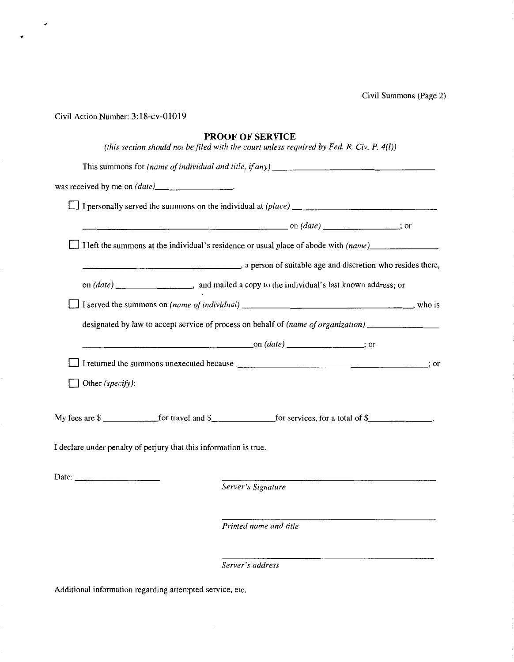Civil Summons (Page 2)

| Civil Action Number: 3:18-cv-01019                                                                                   |
|----------------------------------------------------------------------------------------------------------------------|
| <b>PROOF OF SERVICE</b><br>(this section should not be filed with the court unless required by Fed. R. Civ. P. 4(1)) |
|                                                                                                                      |
| was received by me on (date)_____________________.                                                                   |
|                                                                                                                      |
| $\frac{1}{2}$ on $\left( date\right)$ $\frac{1}{2}$ ; or                                                             |
| I left the summons at the individual's residence or usual place of abode with (name)                                 |
| a person of suitable age and discretion who resides there,                                                           |
| on (date) _______________________, and mailed a copy to the individual's last known address; or                      |
|                                                                                                                      |
| designated by law to accept service of process on behalf of (name of organization)                                   |
| $\cos(\theta)$ on $(\theta)$ $\cos(\theta)$ $\cos(\theta)$                                                           |
|                                                                                                                      |
| Other (specify):                                                                                                     |
| My fees are $\frac{1}{2}$ for travel and $\frac{1}{2}$ for services, for a total of $\frac{1}{2}$ .                  |
| I declare under penalty of perjury that this information is true.                                                    |
| Date:                                                                                                                |
| Server's Signature                                                                                                   |
|                                                                                                                      |
| Printed name and title                                                                                               |

*Server's address* 

Additional information regarding attempted service, etc.

 $\overline{\phantom{a}}$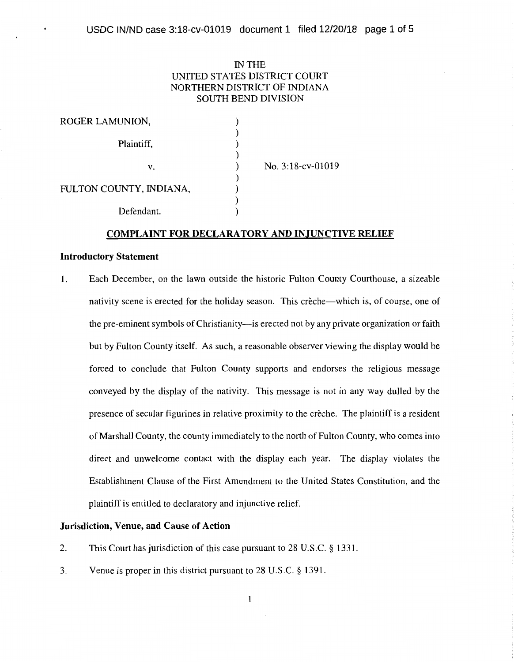### IN THE UNITED STATES DISTRICT COURT NORTHERN DISTRICT OF INDIANA SOUTH BEND DIVISION

| ROGER LAMUNION,         |                   |
|-------------------------|-------------------|
| Plaintiff,              |                   |
| v.                      | No. 3:18-cv-01019 |
| FULTON COUNTY, INDIANA, |                   |
| Defendant.              |                   |

#### **COMPLAINT FOR DECLARATORY AND INJUNCTIVE RELIEF**

#### **Introductory Statement**

1. Each December, on the lawn outside the historic Fulton County Courthouse, a sizeable nativity scene is erected for the holiday season. This crèche—which is, of course, one of the pre-eminent symbols of Christianity—is erected not by any private organization or faith but by Fulton County itself. As such, a reasonable observer viewing the display would be forced to conclude that Fulton County supports and endorses the religious message conveyed by the display of the nativity. This message is not in any way dulled by the presence of secular figurines in relative proximity to the creche. The plaintiff is a resident of Marshall County, the county immediately to the north of Fulton County, who comes into direct and unwelcome contact with the display each year. The display violates the Establishment Clause of the First Amendment to the United States Constitution, and the plaintiff is entitled to declaratory and injunctive relief.

#### **Jurisdiction, Venue, and Cause of Action**

- 2. This Court has jurisdiction of this case pursuant to 28 U.S.C. § 1331.
- 3. Venue is proper in this district pursuant to 28 U.S.C. § 1391.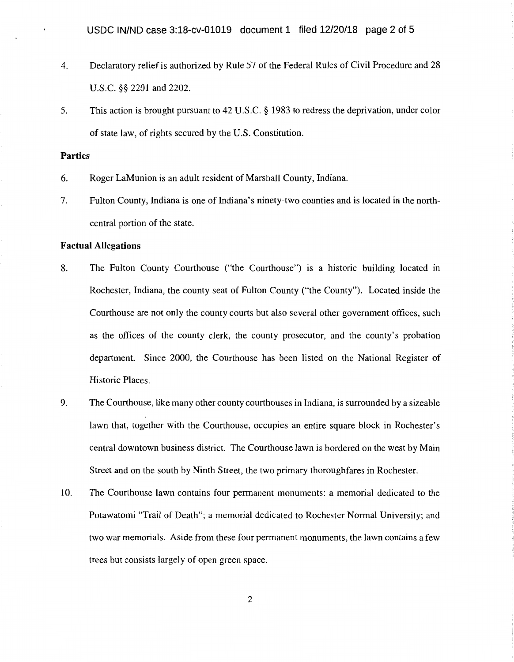- 4. Declaratory relief is authorized by Rule 57 of the Federal Rules of Civil Procedure and 28 U.S.C. §§ 2201 and 2202.
- 5. This action is brought pursuant to 42 U.S.C. § 1983 to redress the deprivation, under color of state law, of rights secured by the U.S. Constitution.

#### **Parties**

- 6. Roger LaMunion is an adult resident of Marshall County, Indiana.
- 7. Fulton County, Indiana is one of Indiana's ninety-two counties and is located in the northcentral portion of the state.

#### **Factual Allegations**

- 8. The Fulton County Courthouse ("the Courthouse") is a historic building located in Rochester, Indiana, the county seat of Fulton County ("the County"). Located inside the Courthouse are not only the county courts but also several other government offices, such as the offices of the county clerk, the county prosecutor, and the county's probation department. Since 2000, the Courthouse has been listed on the National Register of Historic Places.
- 9. The Courthouse, like many other county courthouses in Indiana, is surrounded by a sizeable lawn that, together with the Courthouse, occupies an entire square block in Rochester's central downtown business district. The Courthouse lawn is bordered on the west by Main Street and on the south by Ninth Street, the two primary thoroughfares in Rochester.
- 10. The Courthouse lawn contains four permanent monuments: a memorial dedicated to the Potawatomi "Trail of Death"; a memorial dedicated to Rochester Normal University; and two war memorials. Aside from these four permanent monuments, the lawn contains a few trees but consists largely of open green space.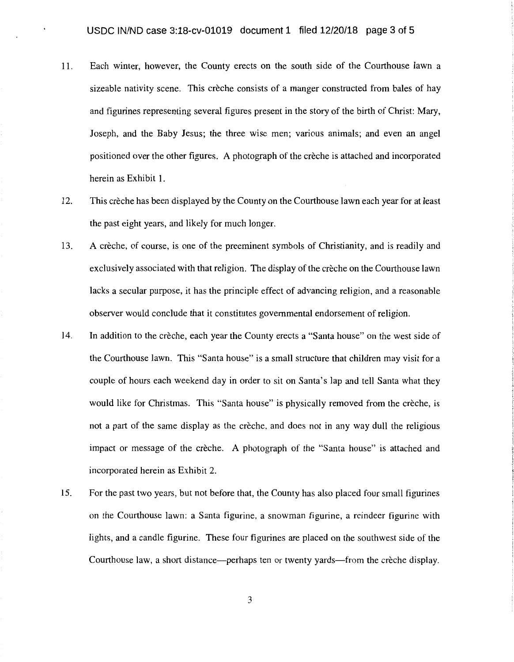- 11. Each winter, however, the County erects on the south side of the Courthouse lawn a sizeable nativity scene. This crèche consists of a manger constructed from bales of hay and figurines representing several figures present in the story of the birth of Christ: Mary, Joseph, and the Baby Jesus; the three wise men; various animals; and even an angel positioned over the other figures. A photograph of the creche is attached and incorporated herein as Exhibit 1.
- 12. This creche has been displayed by the County on the Courthouse lawn each year for at least the past eight years, and likely for much longer.
- 13. A creche, of course, is one of the preeminent symbols of Christianity, and is readily and exclusively associated with that religion. The display of the creche on the Courthouse lawn lacks a secular purpose, it has the principle effect of advancing religion, and a reasonable observer would conclude that it constitutes governmental endorsement of religion.
- 14. In addition to the creche, each year the County erects a "Santa house" on the west side of the Courthouse lawn. This "Santa house" is a small structure that children may visit for a couple of hours each weekend day in order to sit on Santa's lap and tell Santa what they would like for Christmas. This "Santa house" is physically removed from the crèche, is not a part of the same display as the creche, and does not in any way dull the religious impact or message of the creche. A photograph of the "Santa house" is attached and incorporated herein as Exhibit 2.
- 15. For the past two years, but not before that, the County has also placed four small figurines on the Courthouse lawn: a Santa figurine, a snowman figurine, a reindeer figurine with lights, and a candle figurine. These four figurines are placed on the southwest side of the Courthouse law, a short distance—perhaps ten or twenty yards—from the crèche display.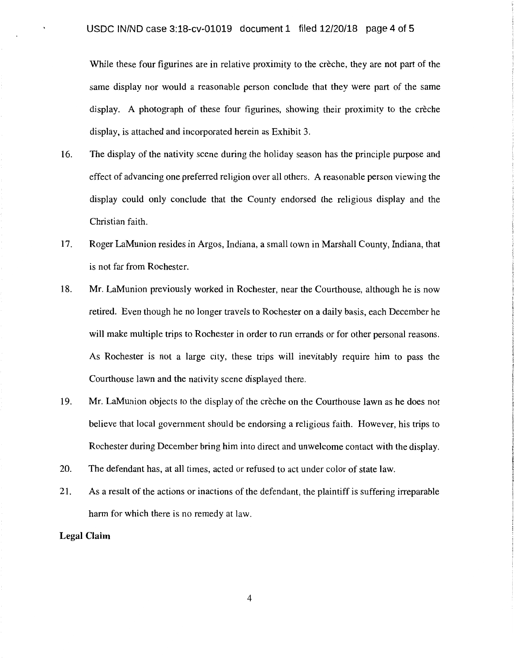While these four figurines are in relative proximity to the crèche, they are not part of the same display nor would a reasonable person conclude that they were part of the same display. A photograph of these four figurines, showing their proximity to the creche display, is attached and incorporated herein as Exhibit 3.

- 16. The display of the nativity scene during the holiday season has the principle purpose and effect of advancing one preferred religion over all others. A reasonable person viewing the display could only conclude that the County endorsed the religious display and the Christian faith.
- 17. Roger LaMunion resides in Argos, Indiana, a small town in Marshall County, Indiana, that is not far from Rochester.
- 18. Mr. LaMunion previously worked in Rochester, near the Courthouse, although he is now retired. Even though he no longer travels to Rochester on a daily basis, each December he will make multiple trips to Rochester in order to run errands or for other personal reasons. As Rochester is not a large city, these trips will inevitably require him to pass the Courthouse lawn and the nativity scene displayed there.
- 19. Mr. LaMunion objects to the display of the creche on the Courthouse lawn as he does not believe that local government should be endorsing a religious faith. However, his trips to Rochester during December bring him into direct and unwelcome contact with the display.
- 20. The defendant has, at all times, acted or refused to act under color of state law.
- 21. As a result of the actions or inactions of the defendant, the plaintiff is suffering irreparable harm for which there is no remedy at law.

## **Legal Claim**

4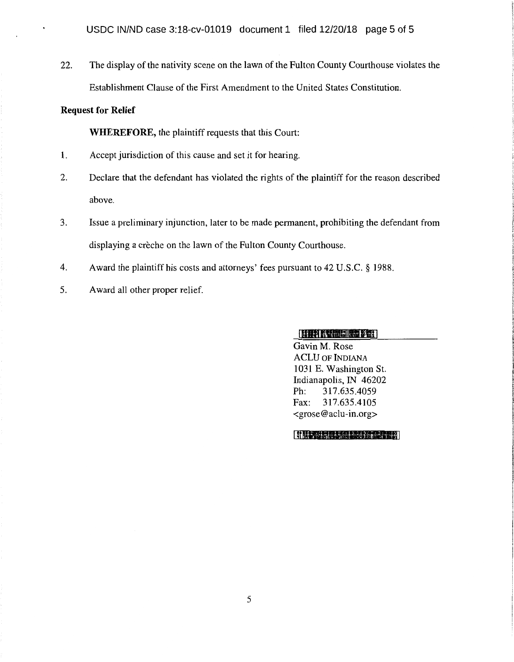22. The display of the nativity scene on the lawn of the Fulton County Courthouse violates the Establishment Clause of the First Amendment to the United States Constitution.

#### **Request for Relief**

**WHEREFORE,** the plaintiff requests that this Court:

- 1. Accept jurisdiction of this cause and set it for hearing.
- 2. Declare that the defendant has violated the rights of the plaintiff for the reason described above.
- 3. Issue a preliminary injunction, later to be made permanent, prohibiting the defendant from displaying a crèche on the lawn of the Fulton County Courthouse.
- 4. Award the plaintiff his costs and attorneys' fees pursuant to 42 U.S.C. § 1988.
- 5. Award all other proper relief.

#### **HEART ANNUAL PRI**

Gavin **M.** Rose ACLU OF INDIANA 1031 E. Washington St. Indianapolis, IN 46202 Ph: 317.635.4059 Fax: 317.635.4105 <grose@aclu-in.org>

**CILLAGE LESS RADERALLES**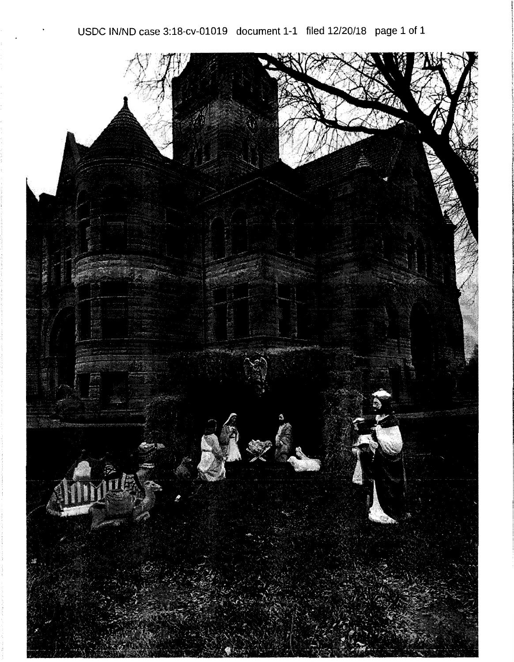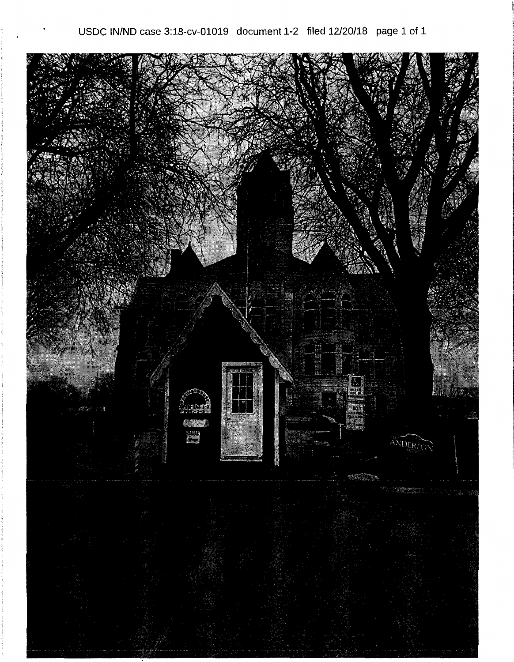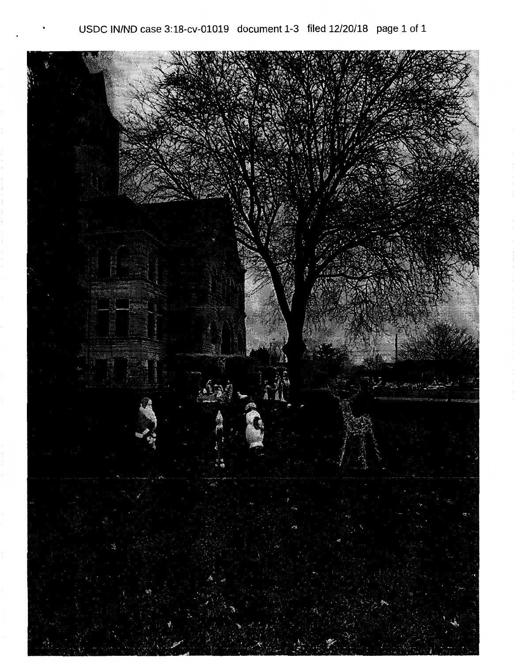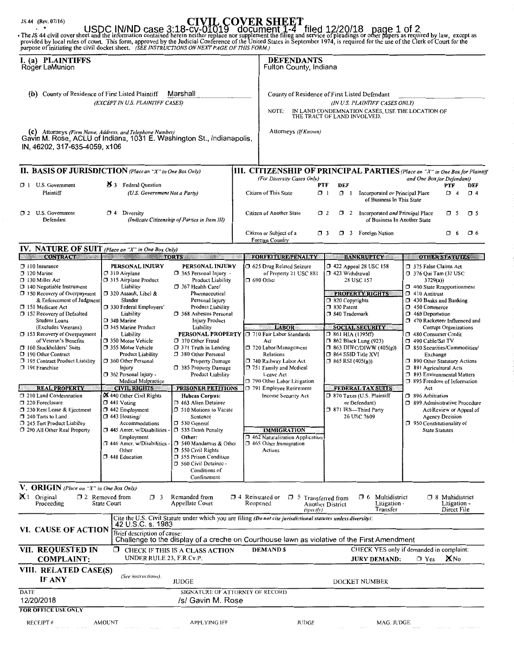| 1544 (Rev. 07/16)<br>USDC IN/ND Case 3:18-CV-01019 document 1-4 filed 12/20/18 page 1 of 2<br>The JS 44 civil cover sheet and the information contained herein neither replace nor supplement the filing and service of pleadings |                                                        |                                               |                                                                              |                                        |                                                                                                                  |                                                 |                                     |                 |
|-----------------------------------------------------------------------------------------------------------------------------------------------------------------------------------------------------------------------------------|--------------------------------------------------------|-----------------------------------------------|------------------------------------------------------------------------------|----------------------------------------|------------------------------------------------------------------------------------------------------------------|-------------------------------------------------|-------------------------------------|-----------------|
| purpose of initiating the civil docket sheet. (SEE INSTRUCTIONS ON NEXT PAGE OF THIS FORM.)<br>I. (a) PLAINTIFFS<br>Roger LaMunion                                                                                                |                                                        |                                               | <b>DEFENDANTS</b><br>Fulton County, Indiana                                  |                                        |                                                                                                                  |                                                 |                                     |                 |
| (b) County of Residence of First Listed Plaintiff                                                                                                                                                                                 | (EXCEPT IN U.S. PLAINTIFF CASES)                       | Marshall                                      | County of Residence of First Listed Defendant<br>NOTE:                       |                                        | (IN U.S. PLAINTIFF CASES ONLY)<br>IN LAND CONDEMNATION CASES, USE THE LOCATION OF<br>THE TRACT OF LAND INVOLVED. |                                                 |                                     |                 |
| (c) Attorneys (Firm Name, Address, and Telephone Number)<br>Gavin M. Rose, ACLU of Indiana, 1031 E. Washington St., Indianapolis,<br>IN, 46202, 317-635-4059, x106                                                                |                                                        |                                               | Attorneys (If Known)                                                         |                                        |                                                                                                                  |                                                 |                                     |                 |
| <b>II. BASIS OF JURISDICTION</b> (Place an "X" in One Box Only)                                                                                                                                                                   |                                                        |                                               | III. CITIZENSHIP OF PRINCIPAL PARTIES (Place an "X" in One Box for Plaintiff |                                        |                                                                                                                  |                                                 |                                     |                 |
|                                                                                                                                                                                                                                   |                                                        |                                               | (For Diversity Cases Only)                                                   |                                        |                                                                                                                  | and One Box for Defendant)                      |                                     |                 |
| $\Box$ 1 U.S. Government<br>Plaintiff                                                                                                                                                                                             | 25 3 Federal Question<br>(U.S. Government Not a Party) |                                               | Citizen of This State                                                        | DEF<br>PTF<br>$\Box$<br>0 <sub>1</sub> | Incorporated or Principal Place<br>of Business In This State                                                     |                                                 | PTF<br>$\Box$<br>$\overline{\bf 4}$ | DEF<br>$\Box$ 4 |
| $\square$ 2 U.S. Government<br>Defendant                                                                                                                                                                                          | 1 4 Diversity                                          | (Indicate Citizenship of Parties in Item III) | Citizen of Another State                                                     | $\Box$ 2                               | $\Box$ 2 Incorporated and Principal Place<br>of Business In Another State                                        |                                                 | $\Box$ 5                            | $\Box$ 5        |
|                                                                                                                                                                                                                                   |                                                        |                                               | Citizen or Subject of a<br>Foreign Country                                   | O 3                                    | 1 3 Foreign Nation                                                                                               |                                                 | O 6                                 | $\Box$ 6        |
| IV. NATURE OF SUIT (Place an "X" in One Box Only)<br><b>CONTRACT</b>                                                                                                                                                              |                                                        |                                               | <b>FORFEITURE/PENALTY</b>                                                    |                                        |                                                                                                                  |                                                 |                                     |                 |
| $\Box$ 110 Insurance                                                                                                                                                                                                              | PERSONAL INJURY                                        | <b>TORTS</b><br>PERSONAL INJURY               | □ 625 Drug Related Seizure                                                   |                                        | <b>BANKRUPTCY</b><br>$\Box$ 422 Appeal 28 USC 158                                                                | <b>J</b> 375 False Claims Act                   | <b>OTHER STATUTES</b>               |                 |
| $7120$ Marine                                                                                                                                                                                                                     | $\Box$ 310 Airplane                                    | □ 365 Personal Injury -                       | of Property 21 USC 881                                                       |                                        | 3 423 Withdrawal                                                                                                 | 376 Qui Tam (31 USC                             |                                     |                 |
| □ 130 Miller Act                                                                                                                                                                                                                  | □ 315 Airplane Product                                 | Product Liability                             | □ 690 Other                                                                  |                                        | 28 USC 157                                                                                                       | 3729(a)                                         |                                     |                 |
| $\Box$ 140 Negotiable Instrument                                                                                                                                                                                                  | Liability                                              | □ 367 Health Care/                            |                                                                              |                                        |                                                                                                                  | $\Box$ 400 State Reapportionment                |                                     |                 |
| □ 150 Recovery of Overpayment<br>& Enforcement of Judgment                                                                                                                                                                        | □ 320 Assault, Libcl &<br>Slander                      | Pharmaceutical<br>Personal Injury             |                                                                              |                                        | <b>PROPERTY RIGHTS</b><br>320 Copyrights                                                                         | $\Box$ 410 Antitrust<br>□ 430 Banks and Banking |                                     |                 |
| □ 151 Medicare Act                                                                                                                                                                                                                | □ 330 Federal Employers'                               | <b>Product Liability</b>                      |                                                                              | 7 830 Patent                           |                                                                                                                  | $\Box$ 450 Commerce                             |                                     |                 |
| <b>D</b> 152 Recovery of Defaulted                                                                                                                                                                                                | Liability                                              | □ 368 Asbestos Personal                       |                                                                              |                                        | 340 Trademark                                                                                                    | $\Box$ 460 Deportation                          |                                     |                 |
| Student Loans                                                                                                                                                                                                                     | $\square$ 340 Marine                                   | <b>Injury Product</b>                         |                                                                              |                                        |                                                                                                                  | 7 470 Racketeer Influenced and                  |                                     |                 |
| (Excludes Veterans)                                                                                                                                                                                                               | □ 345 Marine Product                                   | Liability                                     | <b>LABOR</b>                                                                 |                                        | <b>SOCIAL SECURITY</b>                                                                                           |                                                 | Corrupt Organizations               |                 |
| $\Box$ 153 Recovery of Overpayment                                                                                                                                                                                                | Liability                                              | PERSONAL PROPERTY   710 Fair Labor Standards  |                                                                              |                                        | □ 861 HIA (1395ff)                                                                                               | 7 480 Consumer Credit                           |                                     |                 |

| of Veteran's Benefits                    | □ 350 Motor Vehicle                  | □ 370 Other Fraud           | Act                                   | <b>362 Black Lung (923)</b>        | □ 490 Cable/Sat TV                   |
|------------------------------------------|--------------------------------------|-----------------------------|---------------------------------------|------------------------------------|--------------------------------------|
| □ 160 Stockholders' Suits                | <b>J</b> 355 Motor Vehicle           | $\Box$ 371 Truth in Lending | $\square$ 720 Labor/Management        | $\Box$ 863 DIWC/DIWW (405(g))      | □ 850 Securities/Commodities/        |
| □ 190 Other Contract                     | Product Liability                    | 380 Other Personal          | Relations                             | $\Box$ 864 SSID Title XVI          | Exchange                             |
| <b>195 Contract Product Liability</b>    | □ 360 Other Personal                 | Property Damage             | □ 740 Railway Labor Act               | $\Box$ 865 RSI (405(g))            | <b>3</b> 890 Other Statutory Actions |
| 196 Franchisc                            | Injury                               | □ 385 Property Damage       | <b>D</b> 751 Family and Medical       |                                    | □ 891 Agricultural Acts              |
|                                          | □ 362 Personal Injury -              | Product Liability           | Leave Act                             |                                    | <b>3 893 Environmental Matters</b>   |
|                                          | Medical Malpractice                  |                             | 790 Other Labor Litigation            |                                    | <b>3 895 Freedom of Information</b>  |
| <b>REAL PROPERTY</b>                     | <b>CIVIL RIGHTS</b>                  | <b>PRISONER PETITIONS</b>   | □ 791 Employee Retirement             | <b>FEDERAL TAX SUITS</b>           | Act                                  |
| 1 210 Land Condemnation                  | <b>X</b> 440 Other Civil Rights      | <b>Habcas Corpus:</b>       | Income Security Act                   | <b>J</b> 870 Taxes (U.S. Plaintiff | □ 896 Arbitration                    |
| 1220 Foreclosure                         | $\Box$ 441 Voting                    | 1 463 Alien Detainee        |                                       | or Defendant)                      | $\Box$ 899 Administrative Procedure  |
| 1 230 Rent Lease & Ejectment             | $\Box$ 442 Employment                | □ 510 Motions to Vacate     |                                       | 7 871 IRS-Third Party              | Act/Review or Appeal of              |
| 240 Torts to Land                        | $\Box$ 443 Housing/                  | Sentence                    |                                       | 26 USC 7609                        | <b>Agency Decision</b>               |
| 7 245 Tort Product Liability             | Accommodations                       | $\square$ 530 General       |                                       |                                    | 1950 Constitutionality of            |
| 290 All Other Real Property              | $\Box$ 445 Amer. w/Disabilities      | D 535 Death Penalty         | <b>IMMIGRATION</b>                    |                                    | <b>State Statutes</b>                |
|                                          | Employment                           | Other:                      | 1462 Naturalization Application       |                                    |                                      |
|                                          | $\Box$ 446 Amer. w/Disabilities -    | □ 540 Mandamus & Other      | $\Box$ 465 Other Immigration          |                                    |                                      |
|                                          | Other                                | $\Box$ 550 Civil Rights     | Actions                               |                                    |                                      |
|                                          | 7 448 Education                      | <b>355 Prison Condition</b> |                                       |                                    |                                      |
|                                          |                                      | $\Box$ 560 Civil Detainee - |                                       |                                    |                                      |
|                                          |                                      | Conditions of               |                                       |                                    |                                      |
|                                          |                                      | Confinement                 |                                       |                                    |                                      |
| V. ORIGIN (Place an "X" in One Box Only) |                                      |                             |                                       |                                    |                                      |
| <b>Χ</b> Ι<br>Original                   | $\square$ 2 Removed from<br>$\Box$ 3 | Remanded from               | $\Box$ 4 Reinstated or                | Multidistrict<br>O 6               | <b>3</b> 8 Multidistrict             |
| Proceeding                               | State Court                          | Appellate Court             | $\Box$ 5 Transferred from<br>Reopened | Litigation -<br>Another District   | Litigation -                         |
|                                          |                                      |                             | (specify)                             | Transfer                           | Direct File                          |
|                                          | .                                    | .                           |                                       |                                    |                                      |

|                            |                                                                                                                                     |                                                                                             | $\cdots$<br>-------- | -                                        |  |  |  |  |
|----------------------------|-------------------------------------------------------------------------------------------------------------------------------------|---------------------------------------------------------------------------------------------|----------------------|------------------------------------------|--|--|--|--|
|                            | Cite the U.S. Civil Statute under which you are filing (Do not cite jurisdictional statutes unless diversity):<br>42 U.S.C. s. 1983 |                                                                                             |                      |                                          |  |  |  |  |
| VI. CAUSE OF ACTION        | Brief description of cause:                                                                                                         | Challenge to the display of a creche on Courthouse lawn as violative of the First Amendment |                      |                                          |  |  |  |  |
| VII. REQUESTED IN          | <b>CHECK IF THIS IS A CLASS ACTION</b><br>, ,                                                                                       | <b>DEMANDS</b>                                                                              |                      | CHECK YES only if demanded in complaint: |  |  |  |  |
| <b>COMPLAINT:</b>          | UNDER RULE 23, F.R.Cv.P.                                                                                                            | <b>JURY DEMAND:</b>                                                                         |                      |                                          |  |  |  |  |
| VIII. RELATED CASE(S)      |                                                                                                                                     |                                                                                             |                      |                                          |  |  |  |  |
| IF ANY                     | <b>JUDGE</b>                                                                                                                        | (See instructions):                                                                         |                      | DOCKET NUMBER                            |  |  |  |  |
| <b>DATE</b>                |                                                                                                                                     | SIGNATURE OF ATTORNEY OF RECORD                                                             |                      |                                          |  |  |  |  |
| 12/20/2018                 | /s/ Gavin M. Rose                                                                                                                   |                                                                                             |                      |                                          |  |  |  |  |
| <b>FOR OFFICE USE ONLY</b> |                                                                                                                                     |                                                                                             |                      |                                          |  |  |  |  |
| <b>RECEIPT#</b>            | <b>APPLYING IFP</b><br>AMOUNT                                                                                                       | <b>JUDGE</b>                                                                                | MAG. JUDGE           |                                          |  |  |  |  |